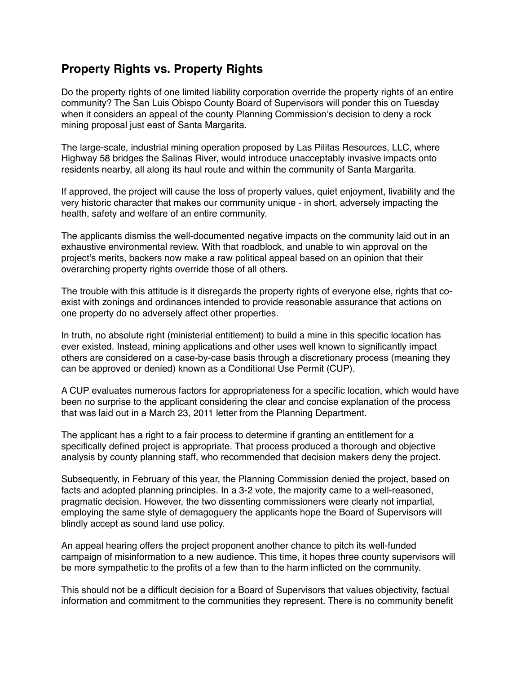## **Property Rights vs. Property Rights**

Do the property rights of one limited liability corporation override the property rights of an entire community? The San Luis Obispo County Board of Supervisors will ponder this on Tuesday when it considers an appeal of the county Planning Commission's decision to deny a rock mining proposal just east of Santa Margarita.

The large-scale, industrial mining operation proposed by Las Pilitas Resources, LLC, where Highway 58 bridges the Salinas River, would introduce unacceptably invasive impacts onto residents nearby, all along its haul route and within the community of Santa Margarita.

If approved, the project will cause the loss of property values, quiet enjoyment, livability and the very historic character that makes our community unique - in short, adversely impacting the health, safety and welfare of an entire community.

The applicants dismiss the well-documented negative impacts on the community laid out in an exhaustive environmental review. With that roadblock, and unable to win approval on the project's merits, backers now make a raw political appeal based on an opinion that their overarching property rights override those of all others.

The trouble with this attitude is it disregards the property rights of everyone else, rights that coexist with zonings and ordinances intended to provide reasonable assurance that actions on one property do no adversely affect other properties.

In truth, no absolute right (ministerial entitlement) to build a mine in this specific location has ever existed. Instead, mining applications and other uses well known to significantly impact others are considered on a case-by-case basis through a discretionary process (meaning they can be approved or denied) known as a Conditional Use Permit (CUP).

A CUP evaluates numerous factors for appropriateness for a specific location, which would have been no surprise to the applicant considering the clear and concise explanation of the process that was laid out in a March 23, 2011 letter from the Planning Department.

The applicant has a right to a fair process to determine if granting an entitlement for a specifically defined project is appropriate. That process produced a thorough and objective analysis by county planning staff, who recommended that decision makers deny the project.

Subsequently, in February of this year, the Planning Commission denied the project, based on facts and adopted planning principles. In a 3-2 vote, the majority came to a well-reasoned, pragmatic decision. However, the two dissenting commissioners were clearly not impartial, employing the same style of demagoguery the applicants hope the Board of Supervisors will blindly accept as sound land use policy.

An appeal hearing offers the project proponent another chance to pitch its well-funded campaign of misinformation to a new audience. This time, it hopes three county supervisors will be more sympathetic to the profits of a few than to the harm inflicted on the community.

This should not be a difficult decision for a Board of Supervisors that values objectivity, factual information and commitment to the communities they represent. There is no community benefit